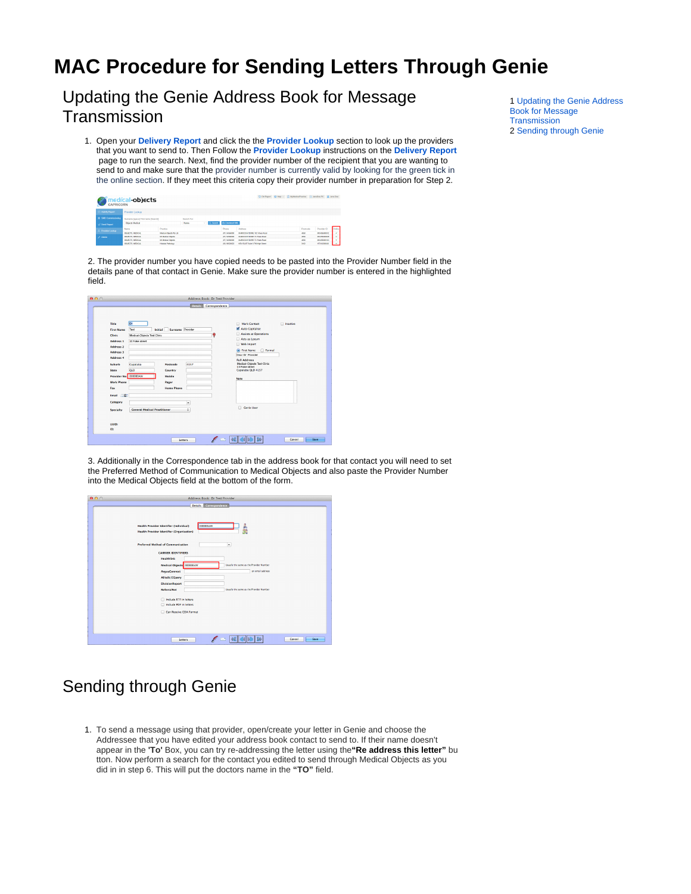## **MAC Procedure for Sending Letters Through Genie**

<span id="page-0-0"></span>Updating the Genie Address Book for Message **Transmission** 

1. Open your **[Delivery Report](https://kb.medical-objects.com.au/display/PUB/Delivery+Report)** and click the the **[Provider Lookup](https://kb.medical-objects.com.au/display/PUB/Delivery+Report#DeliveryReport-ProviderLookup)** section to look up the providers that you want to send to. Then Follow the **[Provider Lookup](https://kb.medical-objects.com.au/display/PUB/Delivery+Report#DeliveryReport-ProviderLookup)** instructions on the **[Delivery Report](https://kb.medical-objects.com.au/display/PUB/Delivery+Report#DeliveryReport-ProviderLookup)** page to run the search. Next, find the provider number of the recipient that you are wanting to send to and make sure that the provider number is currently valid by looking for the green tick in the online section. If they meet this criteria copy their provider number in preparation for Step 2.

| CAPRICORN                  | medical <b>-objects</b>                                         |                          |                  |                      |                                           |  | 13 Old Report @ Help ~ (T) MeMedicalPractice (C) JaneDoe-PC & JaneDoe |               |                     |        |
|----------------------------|-----------------------------------------------------------------|--------------------------|------------------|----------------------|-------------------------------------------|--|-----------------------------------------------------------------------|---------------|---------------------|--------|
| <b>Activity Report</b>     | Provider Lookup                                                 |                          |                  |                      |                                           |  |                                                                       |               |                     |        |
| <b>C SMD Commissioning</b> | Search Fer:<br>Sumarre Ispace) First name (Search)              |                          |                  |                      |                                           |  |                                                                       |               |                     |        |
| 40 Send Report             | <b>Objects Medical</b><br>Name<br>$\sqrt{2}$ C Start $\sqrt{2}$ |                          | Chi Download XML |                      |                                           |  |                                                                       |               |                     |        |
| Provider Leology           | Name                                                            | Practice                 |                  | Phone                | Address                                   |  |                                                                       | Pestoade      | Provider ID         | Cellan |
|                            | OBJECTS MEDICAL                                                 | Medical Objects Ptr Ltd. |                  | (37) 54546000        | MARDOCHYDORE 182 Week Road                |  |                                                                       | 4550          | MONSKOODCZ          |        |
| $F$ Admin                  | ORJECTS MEDICAL                                                 | <b>Mr Medical Chiefs</b> |                  | (BT) 54588000        | MARCOCHYTORE 72 Views Road                |  |                                                                       | <b>UVA</b>    | MOUMMONT.           |        |
|                            | <b>COUPERS MEDICAL</b>                                          | <b>Mr Medical Chiefs</b> |                  | (87) 54556000        | MARCOCHNTICER 77 Village Brunt            |  |                                                                       | 4555          | <b>MO455809 BOX</b> |        |
|                            | <b>AN INCHES</b> CONSULTS IN                                    |                          |                  | <b>THE RESIDENCE</b> | <b>CONTRACTOR AND A REPORT OF A STATE</b> |  |                                                                       | <b>Allena</b> | <b>CONTRACTOR</b>   |        |

2. The provider number you have copied needs to be pasted into the Provider Number field in the details pane of that contact in Genie. Make sure the provider number is entered in the highlighted field.

|                                                                                                                   |                                                             |                                        | <b>Details</b> | Correspondence |                                                                                                                                                                                |                 |
|-------------------------------------------------------------------------------------------------------------------|-------------------------------------------------------------|----------------------------------------|----------------|----------------|--------------------------------------------------------------------------------------------------------------------------------------------------------------------------------|-----------------|
| Title<br><b>First Name</b><br>Clinic<br><b>Address 1</b>                                                          | Dr<br>Test<br>Medical-Objects Test Clinic<br>10 Fake street | Surname Provider<br>Initial            |                | ۵              | Mark Contact<br>Auto Capitalise<br>Assists at Operations<br>Acts as Locum                                                                                                      | <b>Inactive</b> |
| Address 2<br><b>Address 3</b><br>Address 4<br>Suburb<br><b>State</b><br>Provider No 000000AW<br><b>Work Phone</b> | Capalaba<br>QLD                                             | Postcode<br>Country<br>Mobile<br>Pager | 4157           |                | Web Import<br><b>O</b> First Name<br>C Formal<br>Dear Dr. Provider<br><b>Full Address</b><br>Medical-Objects Test Clinic<br>10 Fake street<br>Capalaba QLD 4157<br><b>Note</b> |                 |
| Fax<br>Email (B)<br>Category<br>Specialty<br><b>ULID:</b><br>ID:                                                  | <b>General Medical Practitioner</b>                         | <b>Home Phone</b>                      | ۰<br>÷         |                | Genle User                                                                                                                                                                     |                 |

3. Additionally in the Correspondence tab in the address book for that contact you will need to set the Preferred Method of Communication to Medical Objects and also paste the Provider Number into the Medical Objects field at the bottom of the form.

| 0.00 | Address Book: Dr Test Provider                                                                                                                                                                                                                                                                                        |
|------|-----------------------------------------------------------------------------------------------------------------------------------------------------------------------------------------------------------------------------------------------------------------------------------------------------------------------|
|      | Details Correspondence                                                                                                                                                                                                                                                                                                |
|      | <b>Health Provider Identifier (Individual)</b><br>000000AW<br>å<br><b>Health Provider Identifier (Organisation)</b><br>$\overline{\phantom{0}}$<br><b>Preferred Method of Communication</b><br><b>CARRIER IDENTIFIERS</b><br><b>Healthlink</b><br>Usually the same as the Provider Number<br>Medical Objects COCOCCAW |
|      | an email address<br><b>ArgusConnect</b>                                                                                                                                                                                                                                                                               |
|      | Alltalk/EQuery                                                                                                                                                                                                                                                                                                        |
|      | <b>DivisionReport</b>                                                                                                                                                                                                                                                                                                 |
|      | Usually the same as the Provider Number<br><b>ReferralNet</b>                                                                                                                                                                                                                                                         |
|      | Include RTF in letters<br>Include PDF in letters<br>Can Receive CDA Format                                                                                                                                                                                                                                            |
|      | Cancel<br>Save<br>Letters                                                                                                                                                                                                                                                                                             |

## <span id="page-0-1"></span>Sending through Genie

1. To send a message using that provider, open/create your letter in Genie and choose the Addressee that you have edited your address book contact to send to. If their name doesn't appear in the **'To'** Box, you can try re-addressing the letter using the**"Re address this letter"** bu tton. Now perform a search for the contact you edited to send through Medical Objects as you did in in step 6. This will put the doctors name in the **"TO"** field.

1 [Updating the Genie Address](#page-0-0)  [Book for Message](#page-0-0)  **[Transmission](#page-0-0)** 2 [Sending through Genie](#page-0-1)